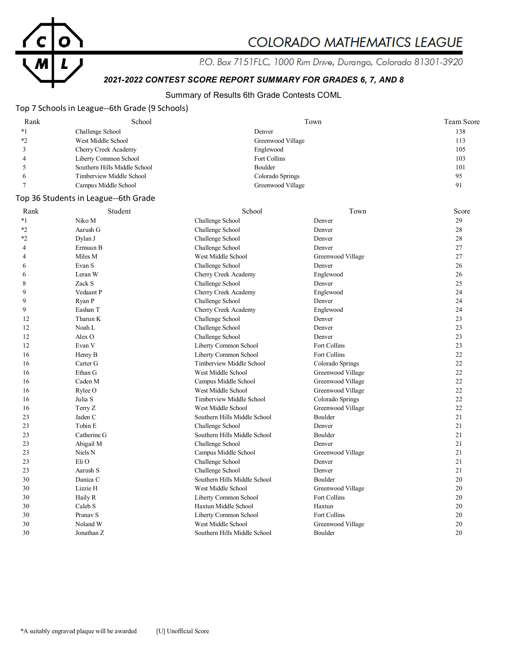

# COLORADO MATHEMATICS LEAGUE

P.O. Box 7151FLC, 1000 Rim Drive, Durango, Colorado 81301-3920

# *2021-2022 CONTEST SCORE REPORT SUMMARY FOR GRADES 6, 7, AND 8*

### Summary of Results 6th Grade Contests COML

### Top 7 Schools in League--6th Grade (9 Schools)

| Rank | School                       | Town              | Team Score |
|------|------------------------------|-------------------|------------|
| $*1$ | Challenge School             | Denver            | 138        |
| $*$  | West Middle School           | Greenwood Village | 113        |
|      | Cherry Creek Academy         | Englewood         | 105        |
|      | Liberty Common School        | Fort Collins      | 103        |
|      | Southern Hills Middle School | Boulder           | 101        |
|      | Timberview Middle School     | Colorado Springs  | 95         |
|      | Campus Middle School         | Greenwood Village | 91         |

### Top 36 Students in League--6th Grade

| Rank | Student           | School                       | Town              | Score |
|------|-------------------|------------------------------|-------------------|-------|
| $*1$ | Niko M            | Challenge School             | Denver            | 29    |
| $*2$ | Aarush G          | Challenge School             | Denver            | 28    |
| $*2$ | Dylan J           | Challenge School             | Denver            | 28    |
| 4    | Ermuun B          | Challenge School             | Denver            | 27    |
| 4    | Miles M           | West Middle School           | Greenwood Village | 27    |
| 6    | Evan S            | Challenge School             | Denver            | 26    |
| 6    | Leran W           | Cherry Creek Academy         | Englewood         | 26    |
| 8    | Zack S            | Challenge School             | Denver            | 25    |
| 9    | Vedaant P         | Cherry Creek Academy         | Englewood         | 24    |
| 9    | Ryan P            | Challenge School             | Denver            | 24    |
| 9    | Eashan T          | Cherry Creek Academy         | Englewood         | 24    |
| 12   | Tharun K          | Challenge School             | Denver            | 23    |
| 12   | Noah L            | Challenge School             | Denver            | 23    |
| 12   | Alex <sub>O</sub> | Challenge School             | Denver            | 23    |
| 12   | Evan V            | Liberty Common School        | Fort Collins      | 23    |
| 16   | Henry B           | Liberty Common School        | Fort Collins      | 22    |
| 16   | Carter G          | Timberview Middle School     | Colorado Springs  | 22    |
| 16   | Ethan G           | West Middle School           | Greenwood Village | 22    |
| 16   | Caden M           | Campus Middle School         | Greenwood Village | 22    |
| 16   | Rylee O           | West Middle School           | Greenwood Village | 22    |
| 16   | Julia S           | Timberview Middle School     | Colorado Springs  | 22    |
| 16   | Terry Z           | West Middle School           | Greenwood Village | 22    |
| 23   | Jaden C           | Southern Hills Middle School | Boulder           | 21    |
| 23   | Tobin E           | Challenge School             | Denver            | 21    |
| 23   | Catherine G       | Southern Hills Middle School | Boulder           | 21    |
| 23   | Abigail M         | Challenge School             | Denver            | 21    |
| 23   | Niels N           | Campus Middle School         | Greenwood Village | 21    |
| 23   | Eli O             | Challenge School             | Denver            | 21    |
| 23   | Aarush S          | Challenge School             | Denver            | 21    |
| 30   | Danica C          | Southern Hills Middle School | Boulder           | 20    |
| 30   | Lizzie H          | West Middle School           | Greenwood Village | 20    |
| 30   | Haily R           | Liberty Common School        | Fort Collins      | 20    |
| 30   | Caleb S           | Haxtun Middle School         | Haxtun            | 20    |
| 30   | Pranav S          | Liberty Common School        | Fort Collins      | 20    |
| 30   | Noland W          | West Middle School           | Greenwood Village | 20    |
| 30   | Jonathan Z        | Southern Hills Middle School | Boulder           | 20    |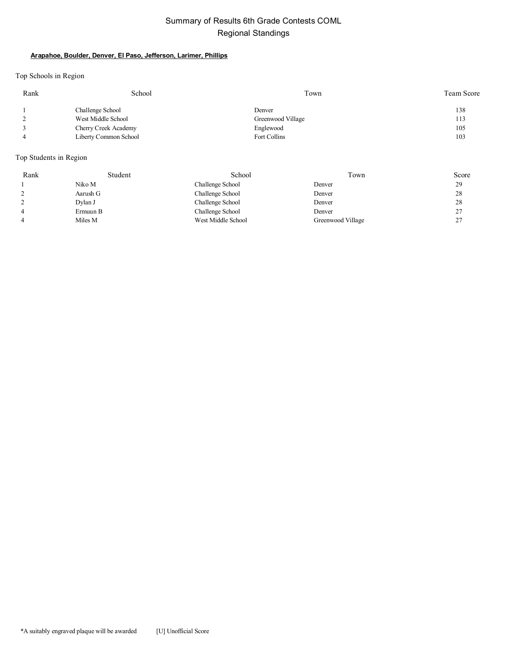### Summary of Results 6th Grade Contests COML Regional Standings

### **Arapahoe, Boulder, Denver, El Paso, Jefferson, Larimer, Phillips**

Top Schools in Region

| Rank | School                | Town              | Team Score |
|------|-----------------------|-------------------|------------|
|      | Challenge School      | Denver            | 138        |
|      | West Middle School    | Greenwood Village | 113        |
|      | Cherry Creek Academy  | Englewood         | 105        |
|      | Liberty Common School | Fort Collins      | 103        |

Top Students in Region

| Rank | Student  | School             | Town              | Score          |
|------|----------|--------------------|-------------------|----------------|
|      | Niko M   | Challenge School   | Denver            | 29             |
|      | Aarush G | Challenge School   | Denver            | 28             |
|      | Dylan J  | Challenge School   | Denver            | 28             |
| 4    | Ermuun B | Challenge School   | Denver            | 27<br>∠        |
| 4    | Miles M  | West Middle School | Greenwood Village | 27<br><u>_</u> |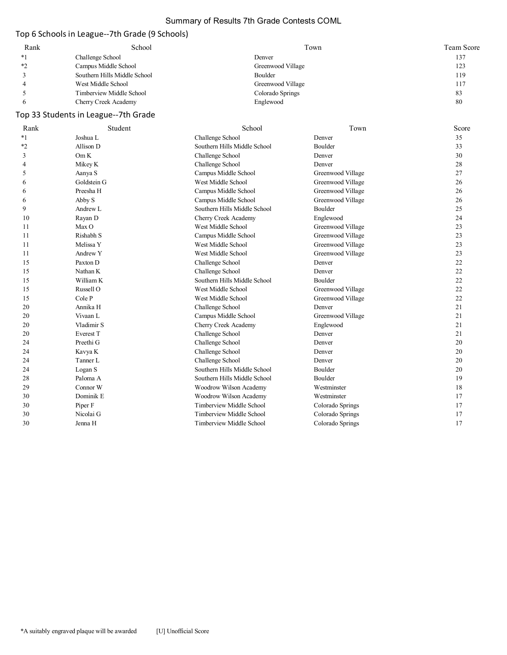### Summary of Results 7th Grade Contests COML

# Top 6 Schools in League--7th Grade (9 Schools)

| Rank | School                       | Town              | Team Score |
|------|------------------------------|-------------------|------------|
| $*1$ | Challenge School             | Denver            | 137        |
| ∗າ   | Campus Middle School         | Greenwood Village | 123        |
|      | Southern Hills Middle School | Boulder           | 119        |
|      | West Middle School           | Greenwood Village | 117        |
|      | Timberview Middle School     | Colorado Springs  | 83         |
|      | Cherry Creek Academy         | Englewood         | 80         |

# Top 33 Students in League--7th Grade

| Rank    | Student     | School                       | Town              | Score |
|---------|-------------|------------------------------|-------------------|-------|
| $*1$    | Joshua L    | Challenge School             | Denver            | 35    |
| $*_{2}$ | Allison D   | Southern Hills Middle School | Boulder           | 33    |
| 3       | Om K        | Challenge School             | Denver            | 30    |
| 4       | Mikey K     | Challenge School             | Denver            | 28    |
| 5       | Aanya S     | Campus Middle School         | Greenwood Village | 27    |
| 6       | Goldstein G | West Middle School           | Greenwood Village | 26    |
| 6       | Preesha H   | Campus Middle School         | Greenwood Village | 26    |
| 6       | Abby S      | Campus Middle School         | Greenwood Village | 26    |
| 9       | Andrew L    | Southern Hills Middle School | Boulder           | 25    |
| 10      | Rayan D     | Cherry Creek Academy         | Englewood         | 24    |
| 11      | Max O       | West Middle School           | Greenwood Village | 23    |
| 11      | Rishabh S   | Campus Middle School         | Greenwood Village | 23    |
| 11      | Melissa Y   | West Middle School           | Greenwood Village | 23    |
| 11      | Andrew Y    | West Middle School           | Greenwood Village | 23    |
| 15      | Paxton D    | Challenge School             | Denver            | 22    |
| 15      | Nathan K    | Challenge School             | Denver            | 22    |
| 15      | William K   | Southern Hills Middle School | Boulder           | 22    |
| 15      | Russell O   | West Middle School           | Greenwood Village | 22    |
| 15      | Cole P      | West Middle School           | Greenwood Village | 22    |
| 20      | Annika H    | Challenge School             | Denver            | 21    |
| 20      | Vivaan L    | Campus Middle School         | Greenwood Village | 21    |
| 20      | Vladimir S  | Cherry Creek Academy         | Englewood         | 21    |
| 20      | Everest T   | Challenge School             | Denver            | 21    |
| 24      | Preethi G   | Challenge School             | Denver            | 20    |
| 24      | Kavya K     | Challenge School             | Denver            | 20    |
| 24      | Tanner L    | Challenge School             | Denver            | 20    |
| 24      | Logan S     | Southern Hills Middle School | Boulder           | 20    |
| 28      | Paloma A    | Southern Hills Middle School | Boulder           | 19    |
| 29      | Connor W    | Woodrow Wilson Academy       | Westminster       | 18    |
| 30      | Dominik E   | Woodrow Wilson Academy       | Westminster       | 17    |
| 30      | Piper F     | Timberview Middle School     | Colorado Springs  | 17    |
| 30      | Nicolai G   | Timberview Middle School     | Colorado Springs  | 17    |
| 30      | Jenna H     | Timberview Middle School     | Colorado Springs  | 17    |
|         |             |                              |                   |       |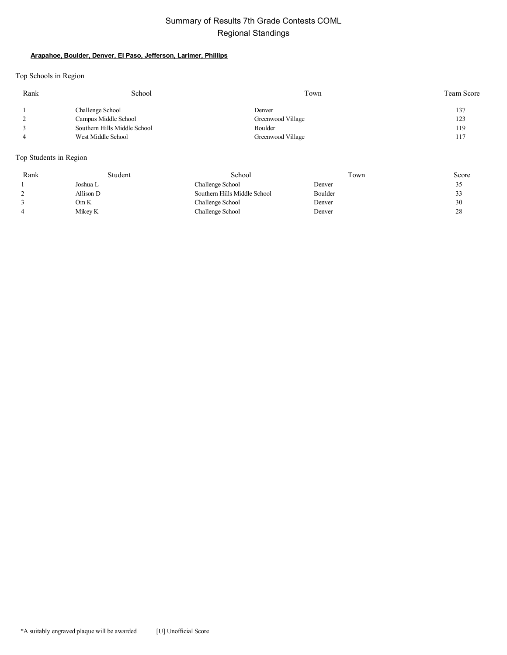### Summary of Results 7th Grade Contests COML Regional Standings

#### **Arapahoe, Boulder, Denver, El Paso, Jefferson, Larimer, Phillips**

Top Schools in Region

| Rank | School                       | Town              | Team Score |
|------|------------------------------|-------------------|------------|
|      | Challenge School             | Denver            | 137        |
|      | Campus Middle School         | Greenwood Village | 123        |
|      | Southern Hills Middle School | Boulder           | 119        |
|      | West Middle School           | Greenwood Village | 117        |

Top Students in Region

| Rank | Student   | School                       | Town    | Score |
|------|-----------|------------------------------|---------|-------|
|      | Joshua L  | Challenge School             | Denver  | ں ر   |
|      | Allison D | Southern Hills Middle School | Boulder | 33    |
|      | Om K      | Challenge School             | Denver  | 30    |
|      | Mikey K   | Challenge School             | Denver  | 28    |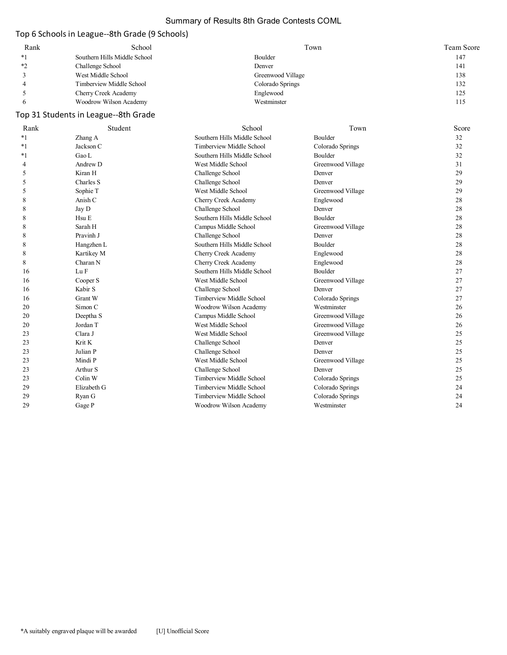### Summary of Results 8th Grade Contests COML

# Top 6 Schools in League--8th Grade (9 Schools)

| Rank | School                       | Town              | Team Score |
|------|------------------------------|-------------------|------------|
|      | Southern Hills Middle School | Boulder           | 147        |
| *?   | Challenge School             | Denver            | 141        |
|      | West Middle School           | Greenwood Village | 138        |
|      | Timberview Middle School     | Colorado Springs  | 132        |
|      | Cherry Creek Academy         | Englewood         | 125        |
|      | Woodrow Wilson Academy       | Westminster       | 115        |

# Top 31 Students in League--8th Grade

| Rank | Student           | School                       | Town              | Score |
|------|-------------------|------------------------------|-------------------|-------|
| *1   | Zhang A           | Southern Hills Middle School | Boulder           | 32    |
| *1   | Jackson C         | Timberview Middle School     | Colorado Springs  | 32    |
| *1   | Gao L             | Southern Hills Middle School | Boulder           | 32    |
| 4    | Andrew D          | West Middle School           | Greenwood Village | 31    |
| 5    | Kiran H           | Challenge School             | Denver            | 29    |
| 5    | Charles S         | Challenge School             | Denver            | 29    |
| 5    | Sophie T          | West Middle School           | Greenwood Village | 29    |
| 8    | Anish C           | Cherry Creek Academy         | Englewood         | 28    |
| 8    | Jay D             | Challenge School             | Denver            | 28    |
| 8    | H <sub>su</sub> E | Southern Hills Middle School | Boulder           | 28    |
| 8    | Sarah H           | Campus Middle School         | Greenwood Village | 28    |
| 8    | Pravinh J         | Challenge School             | Denver            | 28    |
| 8    | Hangzhen L        | Southern Hills Middle School | Boulder           | 28    |
| 8    | Kartikey M        | Cherry Creek Academy         | Englewood         | 28    |
| 8    | Charan N          | Cherry Creek Academy         | Englewood         | 28    |
| 16   | Lu F              | Southern Hills Middle School | Boulder           | 27    |
| 16   | Cooper S          | West Middle School           | Greenwood Village | 27    |
| 16   | Kabir S           | Challenge School             | Denver            | 27    |
| 16   | <b>Grant W</b>    | Timberview Middle School     | Colorado Springs  | 27    |
| 20   | Simon C           | Woodrow Wilson Academy       | Westminster       | 26    |
| 20   | Deeptha S         | Campus Middle School         | Greenwood Village | 26    |
| 20   | Jordan T          | West Middle School           | Greenwood Village | 26    |
| 23   | Clara J           | West Middle School           | Greenwood Village | 25    |
| 23   | Krit K            | Challenge School             | Denver            | 25    |
| 23   | Julian P          | Challenge School             | Denver            | 25    |
| 23   | Mindi P           | West Middle School           | Greenwood Village | 25    |
| 23   | Arthur S          | Challenge School             | Denver            | 25    |
| 23   | Colin W           | Timberview Middle School     | Colorado Springs  | 25    |
| 29   | Elizabeth G       | Timberview Middle School     | Colorado Springs  | 24    |
| 29   | Ryan G            | Timberview Middle School     | Colorado Springs  | 24    |
| 29   | Gage P            | Woodrow Wilson Academy       | Westminster       | 24    |